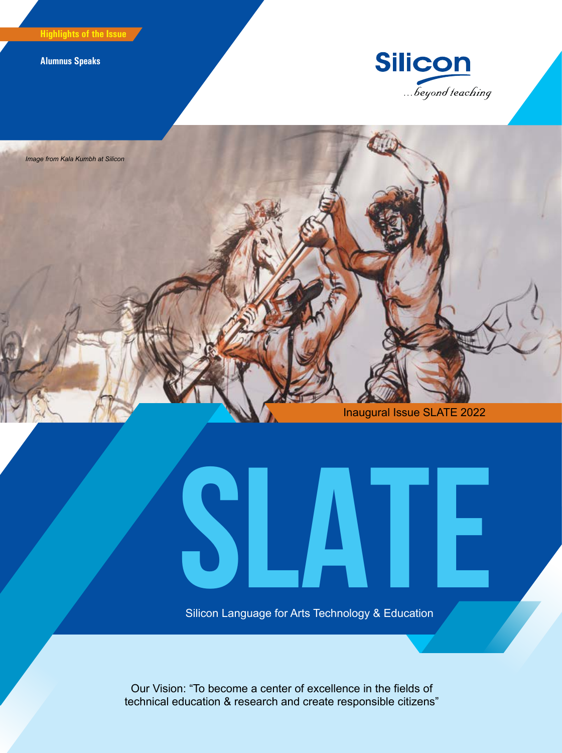**Highlights of the Issue**

**Alumnus Speaks**





Inaugural Issue SLATE 2022

**Silicon Language for Arts Technology & Education** Silicon Language for Arts Technology & Education

Our Vision: "To become a center of excellence in the fields of technical education & research and create responsible citizens"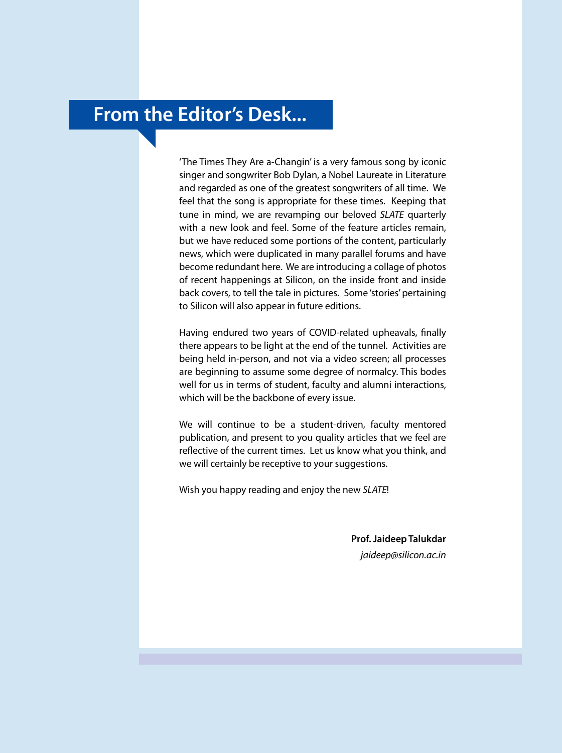## **From the Editor's Desk...**

'The Times They Are a-Changin' is a very famous song by iconic singer and songwriter Bob Dylan, a Nobel Laureate in Literature and regarded as one of the greatest songwriters of all time. We feel that the song is appropriate for these times. Keeping that tune in mind, we are revamping our beloved *SLATE* quarterly with a new look and feel. Some of the feature articles remain, but we have reduced some portions of the content, particularly news, which were duplicated in many parallel forums and have become redundant here. We are introducing a collage of photos of recent happenings at Silicon, on the inside front and inside back covers, to tell the tale in pictures. Some 'stories' pertaining to Silicon will also appear in future editions.

Having endured two years of COVID-related upheavals, finally there appears to be light at the end of the tunnel. Activities are being held in-person, and not via a video screen; all processes are beginning to assume some degree of normalcy. This bodes well for us in terms of student, faculty and alumni interactions, which will be the backbone of every issue.

We will continue to be a student-driven, faculty mentored publication, and present to you quality articles that we feel are reflective of the current times. Let us know what you think, and we will certainly be receptive to your suggestions.

Wish you happy reading and enjoy the new *SLATE*!

**Prof. Jaideep Talukdar** *jaideep@silicon.ac.in*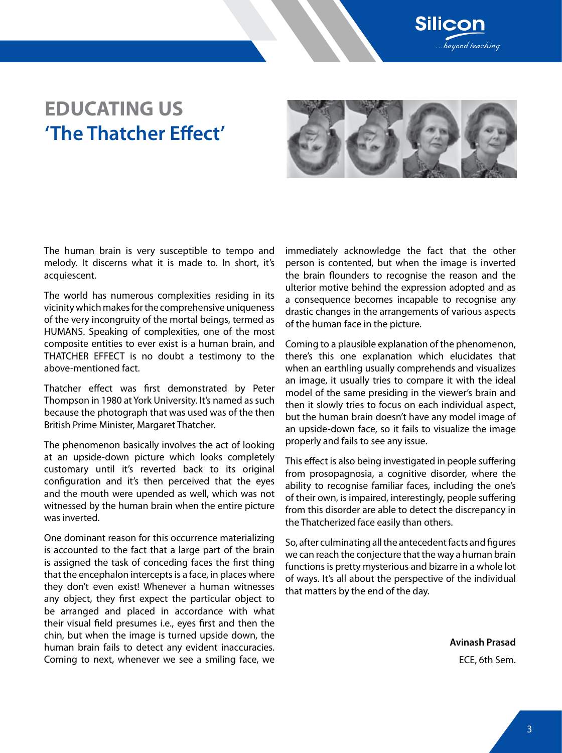

## **EDUCATING US 'The Thatcher Effect'**



The human brain is very susceptible to tempo and melody. It discerns what it is made to. In short, it's acquiescent.

The world has numerous complexities residing in its vicinity which makes for the comprehensive uniqueness of the very incongruity of the mortal beings, termed as HUMANS. Speaking of complexities, one of the most composite entities to ever exist is a human brain, and THATCHER EFFECT is no doubt a testimony to the above-mentioned fact.

Thatcher effect was first demonstrated by Peter Thompson in 1980 at York University. It's named as such because the photograph that was used was of the then British Prime Minister, Margaret Thatcher.

The phenomenon basically involves the act of looking at an upside-down picture which looks completely customary until it's reverted back to its original configuration and it's then perceived that the eyes and the mouth were upended as well, which was not witnessed by the human brain when the entire picture was inverted.

One dominant reason for this occurrence materializing is accounted to the fact that a large part of the brain is assigned the task of conceding faces the first thing that the encephalon intercepts is a face, in places where they don't even exist! Whenever a human witnesses any object, they first expect the particular object to be arranged and placed in accordance with what their visual field presumes i.e., eyes first and then the chin, but when the image is turned upside down, the human brain fails to detect any evident inaccuracies. Coming to next, whenever we see a smiling face, we

immediately acknowledge the fact that the other person is contented, but when the image is inverted the brain flounders to recognise the reason and the ulterior motive behind the expression adopted and as a consequence becomes incapable to recognise any drastic changes in the arrangements of various aspects of the human face in the picture.

Coming to a plausible explanation of the phenomenon, there's this one explanation which elucidates that when an earthling usually comprehends and visualizes an image, it usually tries to compare it with the ideal model of the same presiding in the viewer's brain and then it slowly tries to focus on each individual aspect, but the human brain doesn't have any model image of an upside-down face, so it fails to visualize the image properly and fails to see any issue.

This effect is also being investigated in people suffering from prosopagnosia, a cognitive disorder, where the ability to recognise familiar faces, including the one's of their own, is impaired, interestingly, people suffering from this disorder are able to detect the discrepancy in the Thatcherized face easily than others.

So, after culminating all the antecedent facts and figures we can reach the conjecture that the way a human brain functions is pretty mysterious and bizarre in a whole lot of ways. It's all about the perspective of the individual that matters by the end of the day.

**Avinash Prasad**

ECE, 6th Sem.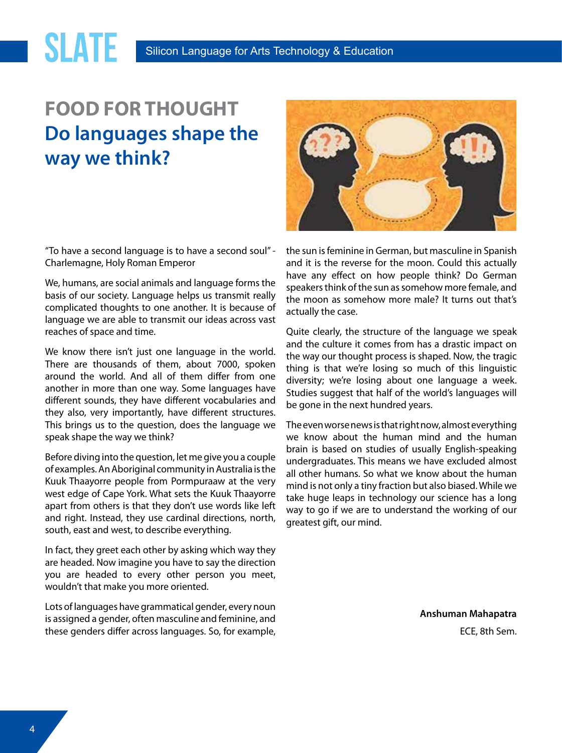# **FOOD FOR THOUGHT Do languages shape the way we think?**

**SLATE** 

"To have a second language is to have a second soul" - Charlemagne, Holy Roman Emperor

We, humans, are social animals and language forms the basis of our society. Language helps us transmit really complicated thoughts to one another. It is because of language we are able to transmit our ideas across vast reaches of space and time.

We know there isn't just one language in the world. There are thousands of them, about 7000, spoken around the world. And all of them differ from one another in more than one way. Some languages have different sounds, they have different vocabularies and they also, very importantly, have different structures. This brings us to the question, does the language we speak shape the way we think?

Before diving into the question, let me give you a couple of examples. An Aboriginal community in Australia is the Kuuk Thaayorre people from Pormpuraaw at the very west edge of Cape York. What sets the Kuuk Thaayorre apart from others is that they don't use words like left and right. Instead, they use cardinal directions, north, south, east and west, to describe everything.

In fact, they greet each other by asking which way they are headed. Now imagine you have to say the direction you are headed to every other person you meet, wouldn't that make you more oriented.

Lots of languages have grammatical gender, every noun is assigned a gender, often masculine and feminine, and these genders differ across languages. So, for example,



the sun is feminine in German, but masculine in Spanish and it is the reverse for the moon. Could this actually have any effect on how people think? Do German speakers think of the sun as somehow more female, and the moon as somehow more male? It turns out that's actually the case.

Quite clearly, the structure of the language we speak and the culture it comes from has a drastic impact on the way our thought process is shaped. Now, the tragic thing is that we're losing so much of this linguistic diversity; we're losing about one language a week. Studies suggest that half of the world's languages will be gone in the next hundred years.

The even worse news is that right now, almost everything we know about the human mind and the human brain is based on studies of usually English-speaking undergraduates. This means we have excluded almost all other humans. So what we know about the human mind is not only a tiny fraction but also biased. While we take huge leaps in technology our science has a long way to go if we are to understand the working of our greatest gift, our mind.

**Anshuman Mahapatra**

ECE, 8th Sem.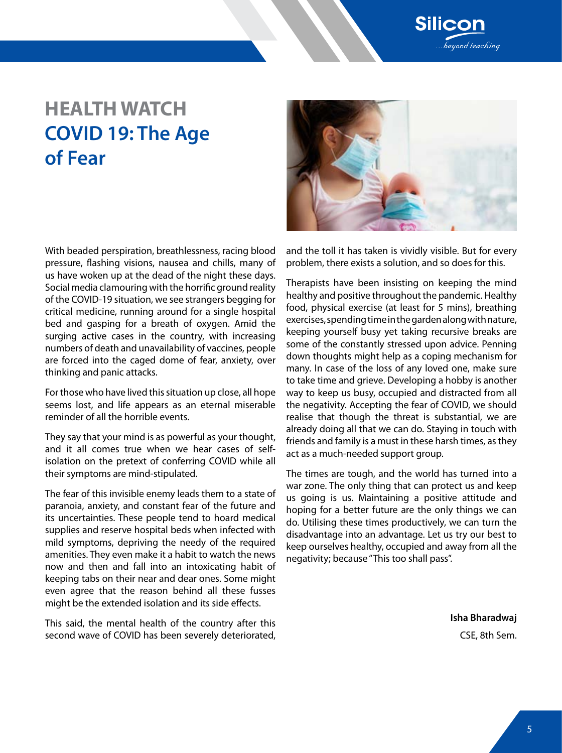

# **HEALTH WATCH COVID 19: The Age of Fear**

With beaded perspiration, breathlessness, racing blood pressure, flashing visions, nausea and chills, many of us have woken up at the dead of the night these days. Social media clamouring with the horrific ground reality of the COVID-19 situation, we see strangers begging for critical medicine, running around for a single hospital bed and gasping for a breath of oxygen. Amid the surging active cases in the country, with increasing numbers of death and unavailability of vaccines, people are forced into the caged dome of fear, anxiety, over thinking and panic attacks.

For those who have lived this situation up close, all hope seems lost, and life appears as an eternal miserable reminder of all the horrible events.

They say that your mind is as powerful as your thought, and it all comes true when we hear cases of selfisolation on the pretext of conferring COVID while all their symptoms are mind-stipulated.

The fear of this invisible enemy leads them to a state of paranoia, anxiety, and constant fear of the future and its uncertainties. These people tend to hoard medical supplies and reserve hospital beds when infected with mild symptoms, depriving the needy of the required amenities. They even make it a habit to watch the news now and then and fall into an intoxicating habit of keeping tabs on their near and dear ones. Some might even agree that the reason behind all these fusses might be the extended isolation and its side effects.

This said, the mental health of the country after this second wave of COVID has been severely deteriorated,



and the toll it has taken is vividly visible. But for every problem, there exists a solution, and so does for this.

Therapists have been insisting on keeping the mind healthy and positive throughout the pandemic. Healthy food, physical exercise (at least for 5 mins), breathing exercises, spending time in the garden along with nature, keeping yourself busy yet taking recursive breaks are some of the constantly stressed upon advice. Penning down thoughts might help as a coping mechanism for many. In case of the loss of any loved one, make sure to take time and grieve. Developing a hobby is another way to keep us busy, occupied and distracted from all the negativity. Accepting the fear of COVID, we should realise that though the threat is substantial, we are already doing all that we can do. Staying in touch with friends and family is a must in these harsh times, as they act as a much-needed support group.

The times are tough, and the world has turned into a war zone. The only thing that can protect us and keep us going is us. Maintaining a positive attitude and hoping for a better future are the only things we can do. Utilising these times productively, we can turn the disadvantage into an advantage. Let us try our best to keep ourselves healthy, occupied and away from all the negativity; because "This too shall pass".

> **Isha Bharadwaj** CSE, 8th Sem.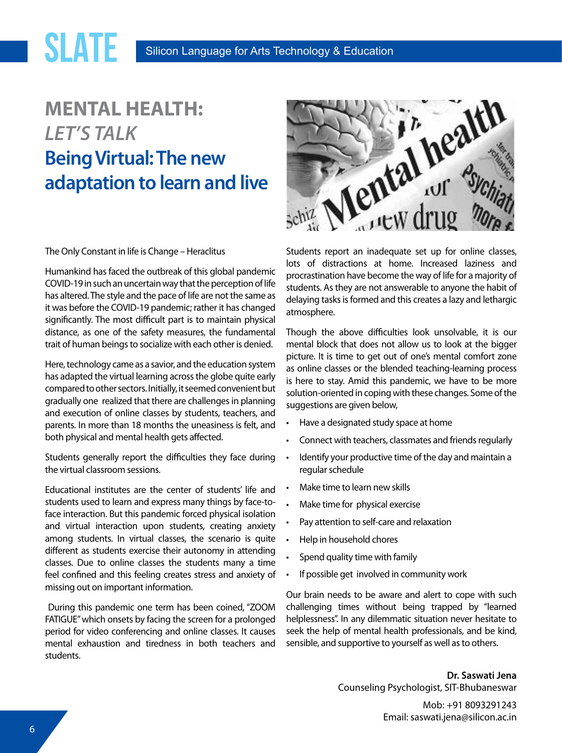# **MENTAL HEALTH:** *LET'S TALK* **Being Virtual: The new adaptation to learn and live**

**SLATE** 

The Only Constant in life is Change – Heraclitus

Humankind has faced the outbreak of this global pandemic COVID-19 in such an uncertain way that the perception of life has altered. The style and the pace of life are not the same as it was before the COVID-19 pandemic; rather it has changed significantly. The most difficult part is to maintain physical distance, as one of the safety measures, the fundamental trait of human beings to socialize with each other is denied.

Here, technology came as a savior, and the education system has adapted the virtual learning across the globe quite early compared to other sectors. Initially, it seemed convenient but gradually one realized that there are challenges in planning and execution of online classes by students, teachers, and parents. In more than 18 months the uneasiness is felt, and both physical and mental health gets affected.

Students generally report the difficulties they face during the virtual classroom sessions.

Educational institutes are the center of students' life and students used to learn and express many things by face-toface interaction. But this pandemic forced physical isolation and virtual interaction upon students, creating anxiety among students. In virtual classes, the scenario is quite different as students exercise their autonomy in attending classes. Due to online classes the students many a time feel confined and this feeling creates stress and anxiety of missing out on important information.

 During this pandemic one term has been coined, "ZOOM FATIGUE" which onsets by facing the screen for a prolonged period for video conferencing and online classes. It causes mental exhaustion and tiredness in both teachers and students.



Students report an inadequate set up for online classes, lots of distractions at home. Increased laziness and procrastination have become the way of life for a majority of students. As they are not answerable to anyone the habit of delaying tasks is formed and this creates a lazy and lethargic atmosphere.

Though the above difficulties look unsolvable, it is our mental block that does not allow us to look at the bigger picture. It is time to get out of one's mental comfort zone as online classes or the blended teaching-learning process is here to stay. Amid this pandemic, we have to be more solution-oriented in coping with these changes. Some of the suggestions are given below,

- Have a designated study space at home
- Connect with teachers, classmates and friends regularly
- • Identify your productive time of the day and maintain a regular schedule
- Make time to learn new skills
- Make time for physical exercise
- Pay attention to self-care and relaxation
- • Help in household chores
- Spend quality time with family
- • If possible get involved in community work

Our brain needs to be aware and alert to cope with such challenging times without being trapped by "learned helplessness". In any dilemmatic situation never hesitate to seek the help of mental health professionals, and be kind, sensible, and supportive to yourself as well as to others.

> **Dr. Saswati Jena** Counseling Psychologist, SIT-Bhubaneswar

> > Mob: +91 8093291243 Email: saswati.jena@silicon.ac.in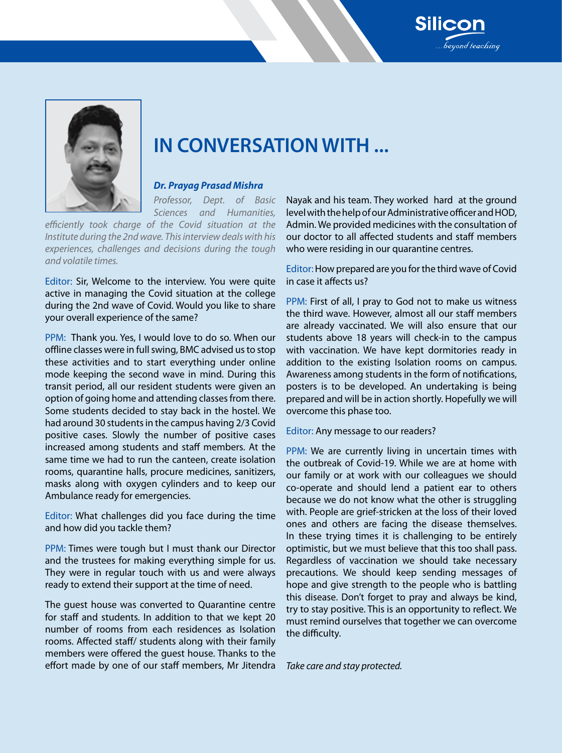



# **IN CONVERSATION WITH ...**

### *Dr. Prayag Prasad Mishra*

*Professor, Dept. of Basic Sciences and Humanities,* 

*efficiently took charge of the Covid situation at the Institute during the 2nd wave. This interview deals with his experiences, challenges and decisions during the tough and volatile times.*

Editor: Sir, Welcome to the interview. You were quite active in managing the Covid situation at the college during the 2nd wave of Covid. Would you like to share your overall experience of the same?

PPM: Thank you. Yes, I would love to do so. When our offline classes were in full swing, BMC advised us to stop these activities and to start everything under online mode keeping the second wave in mind. During this transit period, all our resident students were given an option of going home and attending classes from there. Some students decided to stay back in the hostel. We had around 30 students in the campus having 2/3 Covid positive cases. Slowly the number of positive cases increased among students and staff members. At the same time we had to run the canteen, create isolation rooms, quarantine halls, procure medicines, sanitizers, masks along with oxygen cylinders and to keep our Ambulance ready for emergencies.

Editor: What challenges did you face during the time and how did you tackle them?

PPM: Times were tough but I must thank our Director and the trustees for making everything simple for us. They were in regular touch with us and were always ready to extend their support at the time of need.

The guest house was converted to Quarantine centre for staff and students. In addition to that we kept 20 number of rooms from each residences as Isolation rooms. Affected staff/ students along with their family members were offered the guest house. Thanks to the effort made by one of our staff members, Mr Jitendra Nayak and his team. They worked hard at the ground level with the help of our Administrative officer and HOD, Admin. We provided medicines with the consultation of our doctor to all affected students and staff members who were residing in our quarantine centres.

Editor: How prepared are you for the third wave of Covid in case it affects us?

PPM: First of all, I pray to God not to make us witness the third wave. However, almost all our staff members are already vaccinated. We will also ensure that our students above 18 years will check-in to the campus with vaccination. We have kept dormitories ready in addition to the existing Isolation rooms on campus. Awareness among students in the form of notifications, posters is to be developed. An undertaking is being prepared and will be in action shortly. Hopefully we will overcome this phase too.

#### Editor: Any message to our readers?

PPM: We are currently living in uncertain times with the outbreak of Covid-19. While we are at home with our family or at work with our colleagues we should co-operate and should lend a patient ear to others because we do not know what the other is struggling with. People are grief-stricken at the loss of their loved ones and others are facing the disease themselves. In these trying times it is challenging to be entirely optimistic, but we must believe that this too shall pass. Regardless of vaccination we should take necessary precautions. We should keep sending messages of hope and give strength to the people who is battling this disease. Don't forget to pray and always be kind, try to stay positive. This is an opportunity to reflect. We must remind ourselves that together we can overcome the difficulty.

*Take care and stay protected.*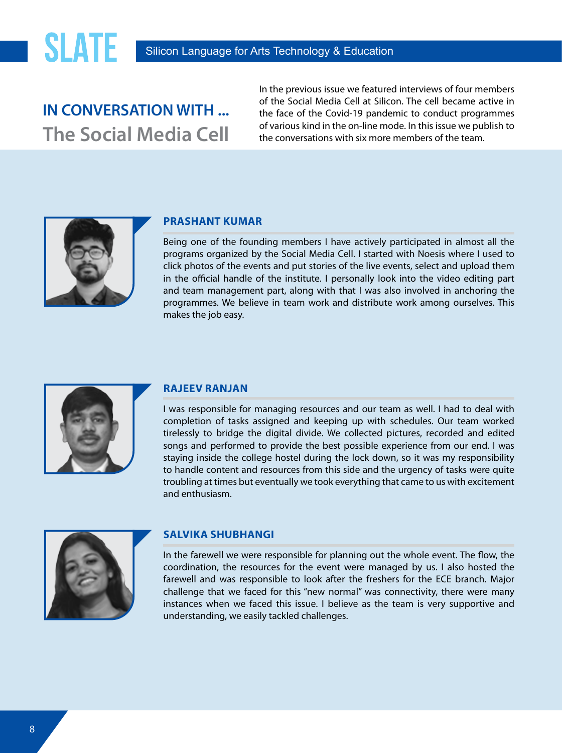## **IN CONVERSATION WITH ... The Social Media Cell**

In the previous issue we featured interviews of four members of the Social Media Cell at Silicon. The cell became active in the face of the Covid-19 pandemic to conduct programmes of various kind in the on-line mode. In this issue we publish to the conversations with six more members of the team.



### **Prashant Kumar**

Being one of the founding members I have actively participated in almost all the programs organized by the Social Media Cell. I started with Noesis where I used to click photos of the events and put stories of the live events, select and upload them in the official handle of the institute. I personally look into the video editing part and team management part, along with that I was also involved in anchoring the programmes. We believe in team work and distribute work among ourselves. This makes the job easy.



### **Rajeev Ranjan**

I was responsible for managing resources and our team as well. I had to deal with completion of tasks assigned and keeping up with schedules. Our team worked tirelessly to bridge the digital divide. We collected pictures, recorded and edited songs and performed to provide the best possible experience from our end. I was staying inside the college hostel during the lock down, so it was my responsibility to handle content and resources from this side and the urgency of tasks were quite troubling at times but eventually we took everything that came to us with excitement and enthusiasm.



### **Salvika Shubhangi**

In the farewell we were responsible for planning out the whole event. The flow, the coordination, the resources for the event were managed by us. I also hosted the farewell and was responsible to look after the freshers for the ECE branch. Major challenge that we faced for this "new normal" was connectivity, there were many instances when we faced this issue. I believe as the team is very supportive and understanding, we easily tackled challenges.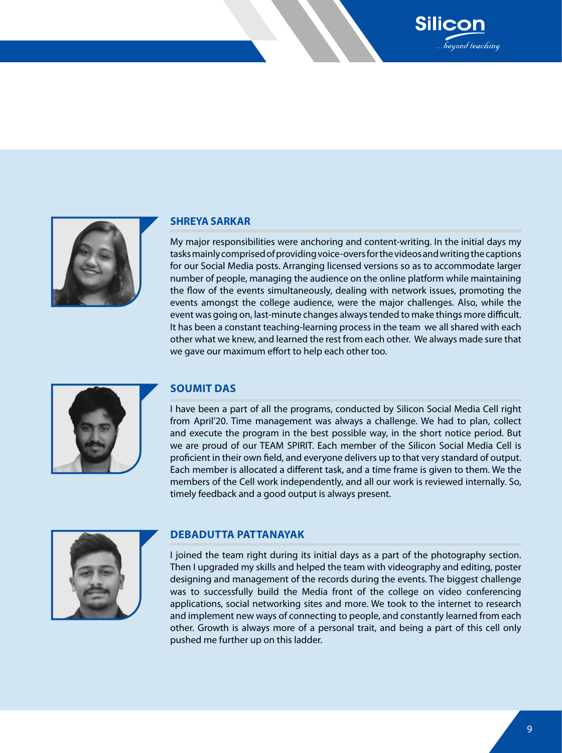

#### **Shreya Sarkar**

My major responsibilities were anchoring and content-writing. In the initial days my tasks mainly comprised of providing voice-overs for the videos and writing the captions for our Social Media posts. Arranging licensed versions so as to accommodate larger number of people, managing the audience on the online platform while maintaining the flow of the events simultaneously, dealing with network issues, promoting the events amongst the college audience, were the major challenges. Also, while the event was going on, last-minute changes always tended to make things more difficult. It has been a constant teaching-learning process in the team we all shared with each other what we knew, and learned the rest from each other. We always made sure that we gave our maximum effort to help each other too.

**Silicor** 

.<br>Seyond teaching



#### **Soumit Das**

I have been a part of all the programs, conducted by Silicon Social Media Cell right from April'20. Time management was always a challenge. We had to plan, collect and execute the program in the best possible way, in the short notice period. But we are proud of our TEAM SPIRIT. Each member of the Silicon Social Media Cell is proficient in their own field, and everyone delivers up to that very standard of output. Each member is allocated a different task, and a time frame is given to them. We the members of the Cell work independently, and all our work is reviewed internally. So, timely feedback and a good output is always present.



#### **Debadutta Pattanayak**

I joined the team right during its initial days as a part of the photography section. Then I upgraded my skills and helped the team with videography and editing, poster designing and management of the records during the events. The biggest challenge was to successfully build the Media front of the college on video conferencing applications, social networking sites and more. We took to the internet to research and implement new ways of connecting to people, and constantly learned from each other. Growth is always more of a personal trait, and being a part of this cell only pushed me further up on this ladder.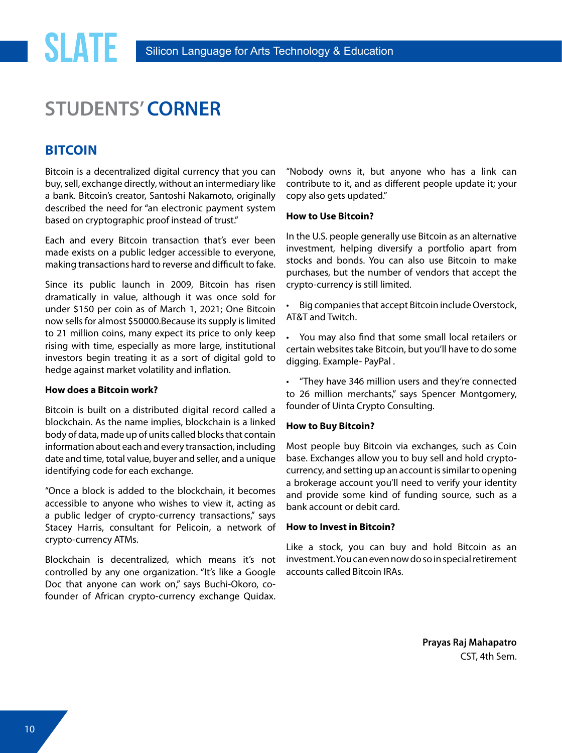## **STUDENTS' CORNER**

## **Bitcoin**

**SLATE** 

Bitcoin is a decentralized digital currency that you can buy, sell, exchange directly, without an intermediary like a bank. Bitcoin's creator, Santoshi Nakamoto, originally described the need for "an electronic payment system based on cryptographic proof instead of trust."

Each and every Bitcoin transaction that's ever been made exists on a public ledger accessible to everyone, making transactions hard to reverse and difficult to fake.

Since its public launch in 2009, Bitcoin has risen dramatically in value, although it was once sold for under \$150 per coin as of March 1, 2021; One Bitcoin now sells for almost \$50000.Because its supply is limited to 21 million coins, many expect its price to only keep rising with time, especially as more large, institutional investors begin treating it as a sort of digital gold to hedge against market volatility and inflation.

#### **How does a Bitcoin work?**

Bitcoin is built on a distributed digital record called a blockchain. As the name implies, blockchain is a linked body of data, made up of units called blocks that contain information about each and every transaction, including date and time, total value, buyer and seller, and a unique identifying code for each exchange.

"Once a block is added to the blockchain, it becomes accessible to anyone who wishes to view it, acting as a public ledger of crypto-currency transactions," says Stacey Harris, consultant for Pelicoin, a network of crypto-currency ATMs.

Blockchain is decentralized, which means it's not controlled by any one organization. "It's like a Google Doc that anyone can work on," says Buchi-Okoro, cofounder of African crypto-currency exchange Quidax. "Nobody owns it, but anyone who has a link can contribute to it, and as different people update it; your copy also gets updated."

#### **How to Use Bitcoin?**

In the U.S. people generally use Bitcoin as an alternative investment, helping diversify a portfolio apart from stocks and bonds. You can also use Bitcoin to make purchases, but the number of vendors that accept the crypto-currency is still limited.

Big companies that accept Bitcoin include Overstock, AT&T and Twitch.

• You may also find that some small local retailers or certain websites take Bitcoin, but you'll have to do some digging. Example- PayPal .

• "They have 346 million users and they're connected to 26 million merchants," says Spencer Montgomery, founder of Uinta Crypto Consulting.

#### **How to Buy Bitcoin?**

Most people buy Bitcoin via exchanges, such as Coin base. Exchanges allow you to buy sell and hold cryptocurrency, and setting up an account is similar to opening a brokerage account you'll need to verify your identity and provide some kind of funding source, such as a bank account or debit card.

#### **How to Invest in Bitcoin?**

Like a stock, you can buy and hold Bitcoin as an investment. You can even now do so in special retirement accounts called Bitcoin IRAs.

> **Prayas Raj Mahapatro** CST, 4th Sem.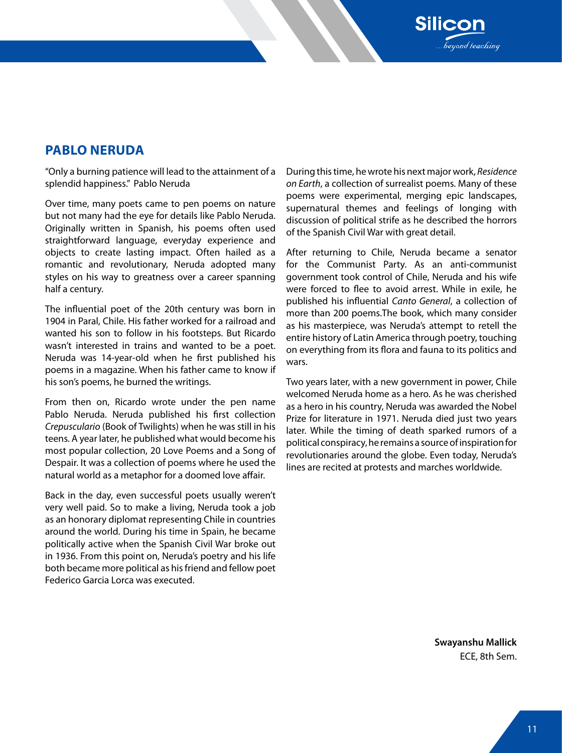## **Pablo Neruda**

"Only a burning patience will lead to the attainment of a splendid happiness." Pablo Neruda

Over time, many poets came to pen poems on nature but not many had the eye for details like Pablo Neruda. Originally written in Spanish, his poems often used straightforward language, everyday experience and objects to create lasting impact. Often hailed as a romantic and revolutionary, Neruda adopted many styles on his way to greatness over a career spanning half a century.

The influential poet of the 20th century was born in 1904 in Paral, Chile. His father worked for a railroad and wanted his son to follow in his footsteps. But Ricardo wasn't interested in trains and wanted to be a poet. Neruda was 14-year-old when he first published his poems in a magazine. When his father came to know if his son's poems, he burned the writings.

From then on, Ricardo wrote under the pen name Pablo Neruda. Neruda published his first collection *Crepusculario* (Book of Twilights) when he was still in his teens. A year later, he published what would become his most popular collection, 20 Love Poems and a Song of Despair. It was a collection of poems where he used the natural world as a metaphor for a doomed love affair.

Back in the day, even successful poets usually weren't very well paid. So to make a living, Neruda took a job as an honorary diplomat representing Chile in countries around the world. During his time in Spain, he became politically active when the Spanish Civil War broke out in 1936. From this point on, Neruda's poetry and his life both became more political as his friend and fellow poet Federico Garcia Lorca was executed.

During this time, he wrote his next major work, *Residence on Earth*, a collection of surrealist poems. Many of these poems were experimental, merging epic landscapes, supernatural themes and feelings of longing with discussion of political strife as he described the horrors of the Spanish Civil War with great detail.

**Silicor** 

yond teaching

After returning to Chile, Neruda became a senator for the Communist Party. As an anti-communist government took control of Chile, Neruda and his wife were forced to flee to avoid arrest. While in exile, he published his influential *Canto General*, a collection of more than 200 poems.The book, which many consider as his masterpiece, was Neruda's attempt to retell the entire history of Latin America through poetry, touching on everything from its flora and fauna to its politics and wars.

Two years later, with a new government in power, Chile welcomed Neruda home as a hero. As he was cherished as a hero in his country, Neruda was awarded the Nobel Prize for literature in 1971. Neruda died just two years later. While the timing of death sparked rumors of a political conspiracy, he remains a source of inspiration for revolutionaries around the globe. Even today, Neruda's lines are recited at protests and marches worldwide.

> **Swayanshu Mallick** ECE, 8th Sem.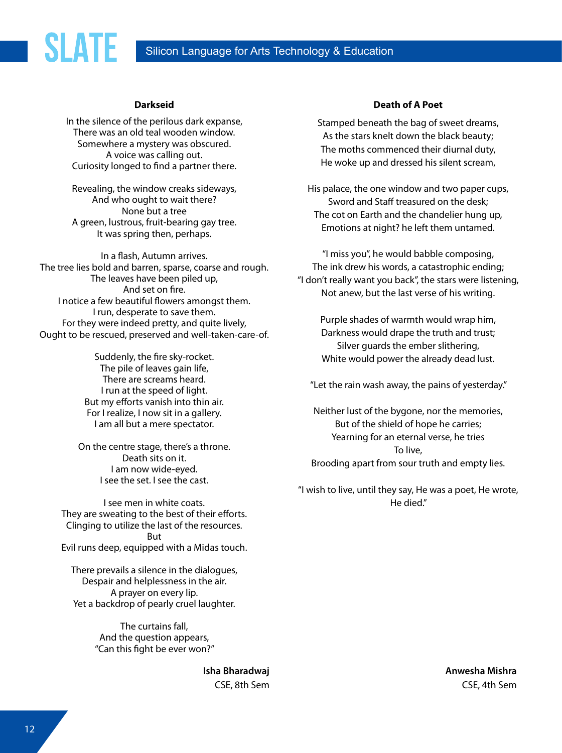### Silicon Language for Arts Technology & Education

#### **Darkseid**

**SLATE** 

In the silence of the perilous dark expanse, There was an old teal wooden window. Somewhere a mystery was obscured. A voice was calling out. Curiosity longed to find a partner there.

Revealing, the window creaks sideways, And who ought to wait there? None but a tree A green, lustrous, fruit-bearing gay tree. It was spring then, perhaps.

In a flash, Autumn arrives. The tree lies bold and barren, sparse, coarse and rough. The leaves have been piled up, And set on fire. I notice a few beautiful flowers amongst them. I run, desperate to save them. For they were indeed pretty, and quite lively, Ought to be rescued, preserved and well-taken-care-of.

> Suddenly, the fire sky-rocket. The pile of leaves gain life, There are screams heard. I run at the speed of light. But my efforts vanish into thin air. For I realize, I now sit in a gallery. I am all but a mere spectator.

On the centre stage, there's a throne. Death sits on it. I am now wide-eyed. I see the set. I see the cast.

I see men in white coats. They are sweating to the best of their efforts. Clinging to utilize the last of the resources. But Evil runs deep, equipped with a Midas touch.

There prevails a silence in the dialogues, Despair and helplessness in the air. A prayer on every lip. Yet a backdrop of pearly cruel laughter.

> The curtains fall, And the question appears, "Can this fight be ever won?"

> > **Isha Bharadwaj** CSE, 8th Sem

#### **Death of A Poet**

Stamped beneath the bag of sweet dreams, As the stars knelt down the black beauty; The moths commenced their diurnal duty, He woke up and dressed his silent scream,

His palace, the one window and two paper cups, Sword and Staff treasured on the desk; The cot on Earth and the chandelier hung up, Emotions at night? he left them untamed.

"I miss you", he would babble composing, The ink drew his words, a catastrophic ending; "I don't really want you back", the stars were listening, Not anew, but the last verse of his writing.

> Purple shades of warmth would wrap him, Darkness would drape the truth and trust; Silver guards the ember slithering, White would power the already dead lust.

"Let the rain wash away, the pains of yesterday."

Neither lust of the bygone, nor the memories, But of the shield of hope he carries; Yearning for an eternal verse, he tries To live, Brooding apart from sour truth and empty lies.

"I wish to live, until they say, He was a poet, He wrote, He died."

> **Anwesha Mishra** CSE, 4th Sem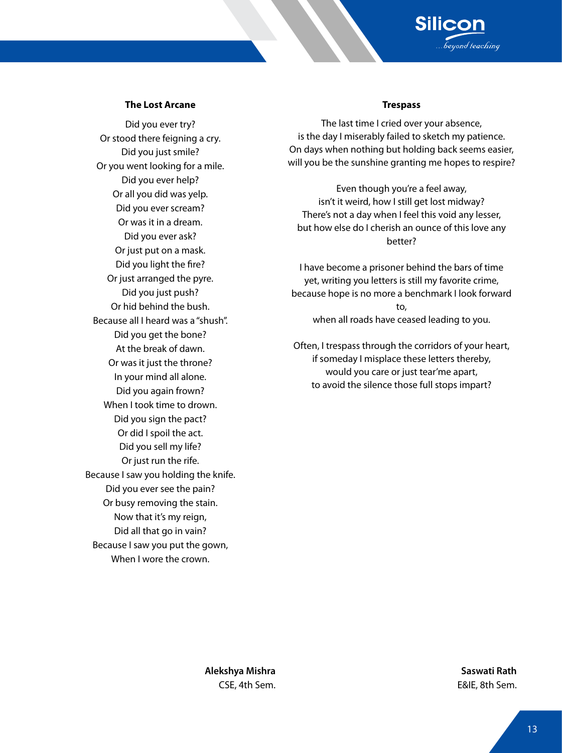

#### **The Lost Arcane**

Did you ever try? Or stood there feigning a cry. Did you just smile? Or you went looking for a mile. Did you ever help? Or all you did was yelp. Did you ever scream? Or was it in a dream. Did you ever ask? Or just put on a mask. Did you light the fire? Or just arranged the pyre. Did you just push? Or hid behind the bush. Because all I heard was a "shush". Did you get the bone? At the break of dawn. Or was it just the throne? In your mind all alone. Did you again frown? When I took time to drown. Did you sign the pact? Or did I spoil the act. Did you sell my life? Or just run the rife. Because I saw you holding the knife. Did you ever see the pain? Or busy removing the stain. Now that it's my reign, Did all that go in vain? Because I saw you put the gown, When I wore the crown.

#### **Trespass**

The last time I cried over your absence, is the day I miserably failed to sketch my patience. On days when nothing but holding back seems easier, will you be the sunshine granting me hopes to respire?

Even though you're a feel away, isn't it weird, how I still get lost midway? There's not a day when I feel this void any lesser, but how else do I cherish an ounce of this love any better?

I have become a prisoner behind the bars of time yet, writing you letters is still my favorite crime, because hope is no more a benchmark I look forward to, when all roads have ceased leading to you.

Often, I trespass through the corridors of your heart, if someday I misplace these letters thereby, would you care or just tear'me apart, to avoid the silence those full stops impart?

**Alekshya Mishra** CSE, 4th Sem.

**Saswati Rath** E&IE, 8th Sem.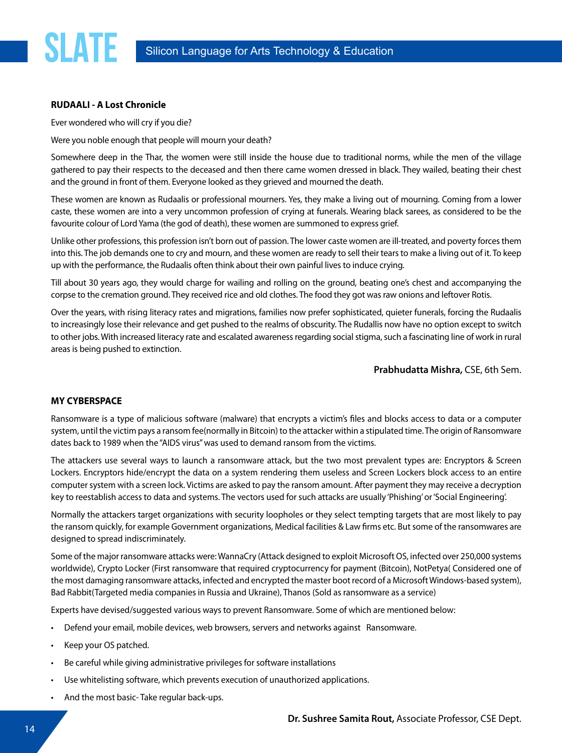#### **RUDAALI - A Lost Chronicle**

**SLATE** 

Ever wondered who will cry if you die?

Were you noble enough that people will mourn your death?

Somewhere deep in the Thar, the women were still inside the house due to traditional norms, while the men of the village gathered to pay their respects to the deceased and then there came women dressed in black. They wailed, beating their chest and the ground in front of them. Everyone looked as they grieved and mourned the death.

These women are known as Rudaalis or professional mourners. Yes, they make a living out of mourning. Coming from a lower caste, these women are into a very uncommon profession of crying at funerals. Wearing black sarees, as considered to be the favourite colour of Lord Yama (the god of death), these women are summoned to express grief.

Unlike other professions, this profession isn't born out of passion. The lower caste women are ill-treated, and poverty forces them into this. The job demands one to cry and mourn, and these women are ready to sell their tears to make a living out of it. To keep up with the performance, the Rudaalis often think about their own painful lives to induce crying.

Till about 30 years ago, they would charge for wailing and rolling on the ground, beating one's chest and accompanying the corpse to the cremation ground. They received rice and old clothes. The food they got was raw onions and leftover Rotis.

Over the years, with rising literacy rates and migrations, families now prefer sophisticated, quieter funerals, forcing the Rudaalis to increasingly lose their relevance and get pushed to the realms of obscurity. The Rudallis now have no option except to switch to other jobs. With increased literacy rate and escalated awareness regarding social stigma, such a fascinating line of work in rural areas is being pushed to extinction.

**Prabhudatta Mishra,** CSE, 6th Sem.

#### **MY CYBERSPACE**

Ransomware is a type of malicious software (malware) that encrypts a victim's files and blocks access to data or a computer system, until the victim pays a ransom fee(normally in Bitcoin) to the attacker within a stipulated time. The origin of Ransomware dates back to 1989 when the "AIDS virus" was used to demand ransom from the victims.

The attackers use several ways to launch a ransomware attack, but the two most prevalent types are: Encryptors & Screen Lockers. Encryptors hide/encrypt the data on a system rendering them useless and Screen Lockers block access to an entire computer system with a screen lock. Victims are asked to pay the ransom amount. After payment they may receive a decryption key to reestablish access to data and systems. The vectors used for such attacks are usually 'Phishing' or 'Social Engineering'.

Normally the attackers target organizations with security loopholes or they select tempting targets that are most likely to pay the ransom quickly, for example Government organizations, Medical facilities & Law firms etc. But some of the ransomwares are designed to spread indiscriminately.

Some of the major ransomware attacks were: WannaCry (Attack designed to exploit Microsoft OS, infected over 250,000 systems worldwide), Crypto Locker (First ransomware that required cryptocurrency for payment (Bitcoin), NotPetya( Considered one of the most damaging ransomware attacks, infected and encrypted the master boot record of a Microsoft Windows-based system), Bad Rabbit(Targeted media companies in Russia and Ukraine), Thanos (Sold as ransomware as a service)

Experts have devised/suggested various ways to prevent Ransomware. Some of which are mentioned below:

- Defend your email, mobile devices, web browsers, servers and networks against Ransomware.
- Keep your OS patched.
- Be careful while giving administrative privileges for software installations
- Use whitelisting software, which prevents execution of unauthorized applications.
- And the most basic- Take regular back-ups.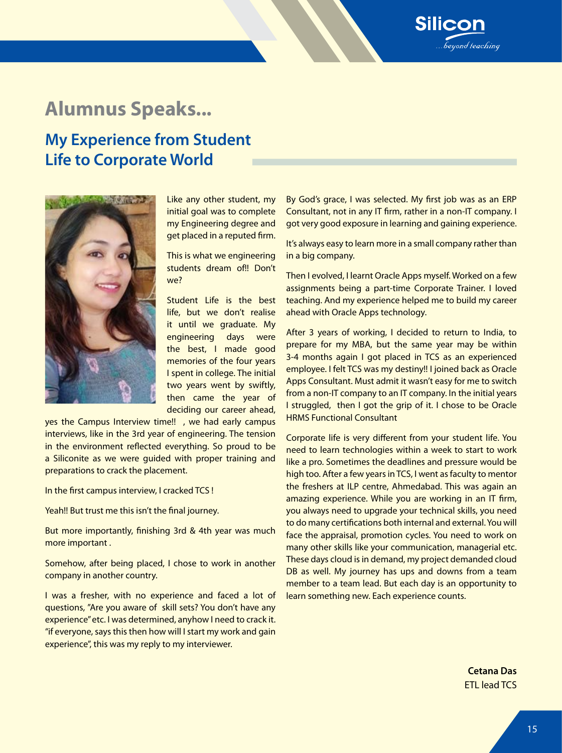## **Alumnus Speaks...**

## **My Experience from Student Life to Corporate World**



Like any other student, my initial goal was to complete my Engineering degree and get placed in a reputed firm.

This is what we engineering students dream of!! Don't we?

Student Life is the best life, but we don't realise it until we graduate. My engineering days were the best, I made good memories of the four years I spent in college. The initial two years went by swiftly, then came the year of deciding our career ahead,

yes the Campus Interview time!! , we had early campus interviews, like in the 3rd year of engineering. The tension in the environment reflected everything. So proud to be a Siliconite as we were guided with proper training and preparations to crack the placement.

In the first campus interview, I cracked TCS !

Yeah!! But trust me this isn't the final journey.

But more importantly, finishing 3rd & 4th year was much more important .

Somehow, after being placed, I chose to work in another company in another country.

I was a fresher, with no experience and faced a lot of questions, "Are you aware of skill sets? You don't have any experience" etc. I was determined, anyhow I need to crack it. "if everyone, says this then how will I start my work and gain experience", this was my reply to my interviewer.

By God's grace, I was selected. My first job was as an ERP Consultant, not in any IT firm, rather in a non-IT company. I got very good exposure in learning and gaining experience.

**Silicon** 

yond teaching

It's always easy to learn more in a small company rather than in a big company.

Then I evolved, I learnt Oracle Apps myself. Worked on a few assignments being a part-time Corporate Trainer. I loved teaching. And my experience helped me to build my career ahead with Oracle Apps technology.

After 3 years of working, I decided to return to India, to prepare for my MBA, but the same year may be within 3-4 months again I got placed in TCS as an experienced employee. I felt TCS was my destiny!! I joined back as Oracle Apps Consultant. Must admit it wasn't easy for me to switch from a non-IT company to an IT company. In the initial years I struggled, then I got the grip of it. I chose to be Oracle HRMS Functional Consultant

Corporate life is very different from your student life. You need to learn technologies within a week to start to work like a pro. Sometimes the deadlines and pressure would be high too. After a few years in TCS, I went as faculty to mentor the freshers at ILP centre, Ahmedabad. This was again an amazing experience. While you are working in an IT firm, you always need to upgrade your technical skills, you need to do many certifications both internal and external. You will face the appraisal, promotion cycles. You need to work on many other skills like your communication, managerial etc. These days cloud is in demand, my project demanded cloud DB as well. My journey has ups and downs from a team member to a team lead. But each day is an opportunity to learn something new. Each experience counts.

> **Cetana Das** ETL lead TCS